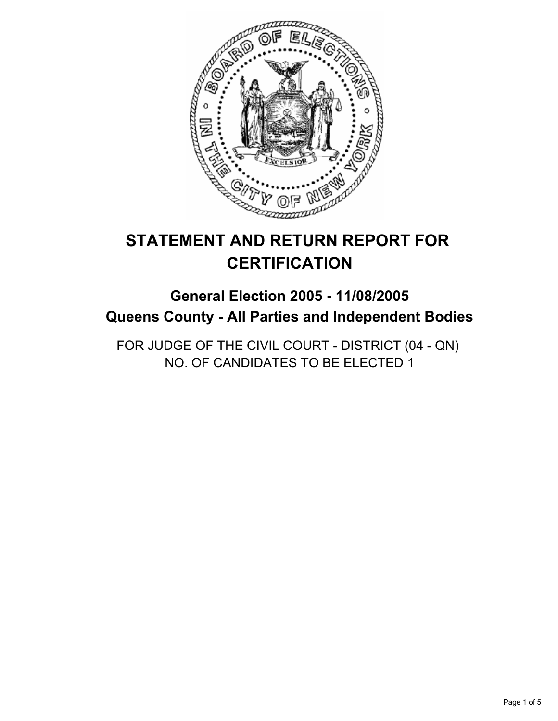

# **STATEMENT AND RETURN REPORT FOR CERTIFICATION**

## **General Election 2005 - 11/08/2005 Queens County - All Parties and Independent Bodies**

FOR JUDGE OF THE CIVIL COURT - DISTRICT (04 - QN) NO. OF CANDIDATES TO BE ELECTED 1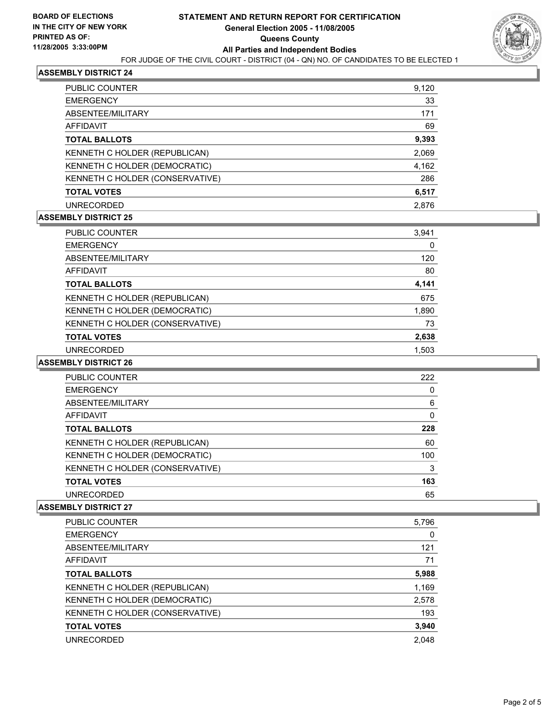

#### **ASSEMBLY DISTRICT 24**

| PUBLIC COUNTER                  | 9,120 |
|---------------------------------|-------|
| <b>EMERGENCY</b>                | 33    |
| ABSENTEE/MILITARY               | 171   |
| <b>AFFIDAVIT</b>                | 69    |
| <b>TOTAL BALLOTS</b>            | 9,393 |
| KENNETH C HOLDER (REPUBLICAN)   | 2,069 |
| KENNETH C HOLDER (DEMOCRATIC)   | 4,162 |
| KENNETH C HOLDER (CONSERVATIVE) | 286   |
| <b>TOTAL VOTES</b>              | 6,517 |
| <b>UNRECORDED</b>               | 2.876 |

#### **ASSEMBLY DISTRICT 25**

| PUBLIC COUNTER                  | 3,941 |  |
|---------------------------------|-------|--|
| <b>EMERGENCY</b>                | 0     |  |
| ABSENTEE/MILITARY               | 120   |  |
| <b>AFFIDAVIT</b>                | 80    |  |
| <b>TOTAL BALLOTS</b>            | 4,141 |  |
| KENNETH C HOLDER (REPUBLICAN)   | 675   |  |
| KENNETH C HOLDER (DEMOCRATIC)   | 1,890 |  |
| KENNETH C HOLDER (CONSERVATIVE) | 73    |  |
| <b>TOTAL VOTES</b>              | 2,638 |  |
| <b>UNRECORDED</b>               | 1.503 |  |

#### **ASSEMBLY DISTRICT 26**

| PUBLIC COUNTER                  | 222 |  |
|---------------------------------|-----|--|
| <b>EMERGENCY</b>                |     |  |
| ABSENTEE/MILITARY               | 6   |  |
| <b>AFFIDAVIT</b>                |     |  |
| <b>TOTAL BALLOTS</b>            | 228 |  |
| KENNETH C HOLDER (REPUBLICAN)   | 60  |  |
| KENNETH C HOLDER (DEMOCRATIC)   | 100 |  |
| KENNETH C HOLDER (CONSERVATIVE) | 3   |  |
| <b>TOTAL VOTES</b>              | 163 |  |
| <b>UNRECORDED</b>               | 65  |  |

#### **ASSEMBLY DISTRICT 27**

| PUBLIC COUNTER                  | 5,796 |
|---------------------------------|-------|
| <b>EMERGENCY</b>                |       |
| ABSENTEE/MILITARY               | 121   |
| AFFIDAVIT                       | 71    |
| <b>TOTAL BALLOTS</b>            | 5,988 |
| KENNETH C HOLDER (REPUBLICAN)   | 1,169 |
| KENNETH C HOLDER (DEMOCRATIC)   | 2,578 |
| KENNETH C HOLDER (CONSERVATIVE) | 193   |
| <b>TOTAL VOTES</b>              | 3,940 |
| <b>UNRECORDED</b>               | 2.048 |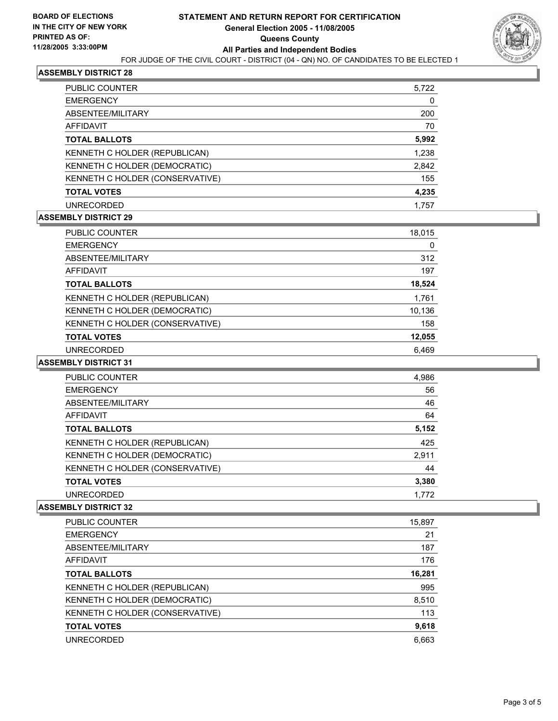#### **ASSEMBLY DISTRICT 28**

| PUBLIC COUNTER                  | 5,722 |
|---------------------------------|-------|
| <b>EMERGENCY</b>                | 0     |
| ABSENTEE/MILITARY               | 200   |
| <b>AFFIDAVIT</b>                | 70    |
| <b>TOTAL BALLOTS</b>            | 5,992 |
| KENNETH C HOLDER (REPUBLICAN)   | 1,238 |
| KENNETH C HOLDER (DEMOCRATIC)   | 2,842 |
| KENNETH C HOLDER (CONSERVATIVE) | 155   |
| <b>TOTAL VOTES</b>              | 4,235 |
| <b>UNRECORDED</b>               | 1.757 |

#### **ASSEMBLY DISTRICT 29**

| PUBLIC COUNTER                  | 18,015 |  |
|---------------------------------|--------|--|
| <b>EMERGENCY</b>                | 0      |  |
| ABSENTEE/MILITARY               | 312    |  |
| <b>AFFIDAVIT</b>                | 197    |  |
| <b>TOTAL BALLOTS</b>            | 18,524 |  |
| KENNETH C HOLDER (REPUBLICAN)   | 1,761  |  |
| KENNETH C HOLDER (DEMOCRATIC)   | 10,136 |  |
| KENNETH C HOLDER (CONSERVATIVE) | 158    |  |
| <b>TOTAL VOTES</b>              | 12,055 |  |
| UNRECORDED                      | 6.469  |  |

#### **ASSEMBLY DISTRICT 31**

| <b>PUBLIC COUNTER</b>           | 4,986 |
|---------------------------------|-------|
| <b>EMERGENCY</b>                | 56    |
| ABSENTEE/MILITARY               | 46    |
| AFFIDAVIT                       | 64    |
| <b>TOTAL BALLOTS</b>            | 5,152 |
| KENNETH C HOLDER (REPUBLICAN)   | 425   |
| KENNETH C HOLDER (DEMOCRATIC)   | 2,911 |
| KENNETH C HOLDER (CONSERVATIVE) | 44    |
| <b>TOTAL VOTES</b>              | 3,380 |
| <b>UNRECORDED</b>               | 1.772 |

#### **ASSEMBLY DISTRICT 32**

| 15,897 |
|--------|
| 21     |
| 187    |
| 176    |
| 16,281 |
| 995    |
| 8,510  |
| 113    |
| 9,618  |
| 6,663  |
|        |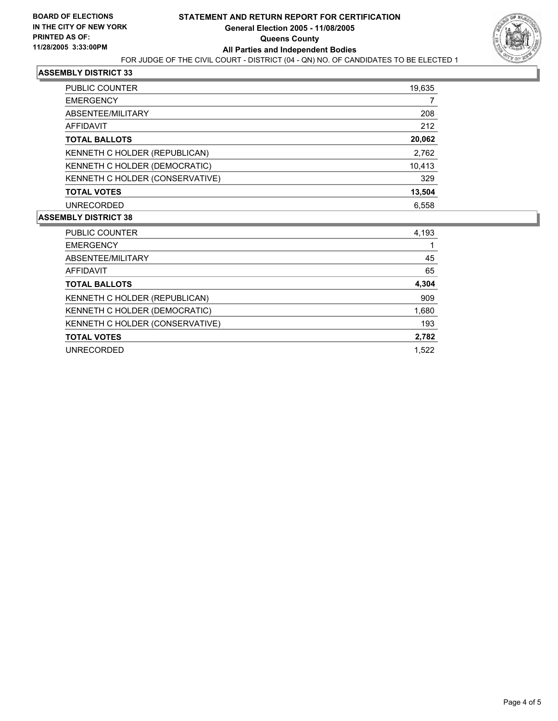

#### **ASSEMBLY DISTRICT 33**

| PUBLIC COUNTER                  | 19,635 |
|---------------------------------|--------|
| <b>EMERGENCY</b>                |        |
| ABSENTEE/MILITARY               | 208    |
| AFFIDAVIT                       | 212    |
| <b>TOTAL BALLOTS</b>            | 20,062 |
| KENNETH C HOLDER (REPUBLICAN)   | 2,762  |
| KENNETH C HOLDER (DEMOCRATIC)   | 10,413 |
| KENNETH C HOLDER (CONSERVATIVE) | 329    |
| <b>TOTAL VOTES</b>              | 13,504 |
| <b>UNRECORDED</b>               | 6,558  |
|                                 |        |

#### **ASSEMBLY DISTRICT 38**

| PUBLIC COUNTER                  | 4,193 |
|---------------------------------|-------|
| <b>EMERGENCY</b>                |       |
| ABSENTEE/MILITARY               | 45    |
| <b>AFFIDAVIT</b>                | 65    |
| <b>TOTAL BALLOTS</b>            | 4,304 |
| KENNETH C HOLDER (REPUBLICAN)   | 909   |
| KENNETH C HOLDER (DEMOCRATIC)   | 1,680 |
| KENNETH C HOLDER (CONSERVATIVE) | 193   |
| <b>TOTAL VOTES</b>              | 2,782 |
| <b>UNRECORDED</b>               | 1.522 |